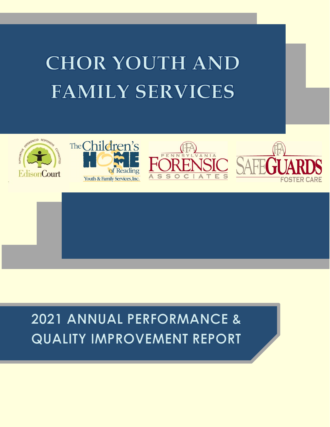# **CHOR YOUTH AND FAMILY SERVICES**









2021 ANNUAL PERFORMANCE & **QUALITY IMPROVEMENT REPORT**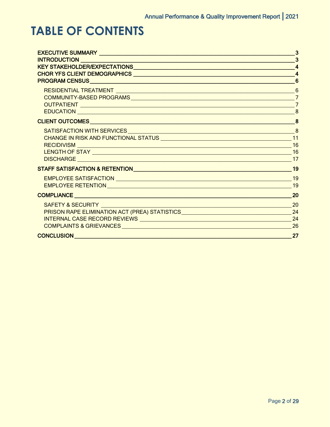## **TABLE OF CONTENTS**

|                                                                                  | 3                       |
|----------------------------------------------------------------------------------|-------------------------|
|                                                                                  | 3                       |
|                                                                                  | $\overline{\mathbf{A}}$ |
|                                                                                  | $\overline{\mathbf{A}}$ |
|                                                                                  | 6                       |
|                                                                                  |                         |
|                                                                                  | $\overline{7}$          |
|                                                                                  | $\overline{7}$          |
|                                                                                  |                         |
|                                                                                  |                         |
|                                                                                  | 8                       |
|                                                                                  |                         |
|                                                                                  |                         |
|                                                                                  |                         |
|                                                                                  |                         |
|                                                                                  |                         |
|                                                                                  | 19                      |
|                                                                                  |                         |
|                                                                                  |                         |
|                                                                                  |                         |
|                                                                                  | 20                      |
| SAFETY & SECURITY                                                                | 20                      |
| PRISON RAPE ELIMINATION ACT (PREA) STATISTICS __________________________________ | 24                      |
|                                                                                  |                         |
|                                                                                  | 26                      |
|                                                                                  | 27                      |
|                                                                                  |                         |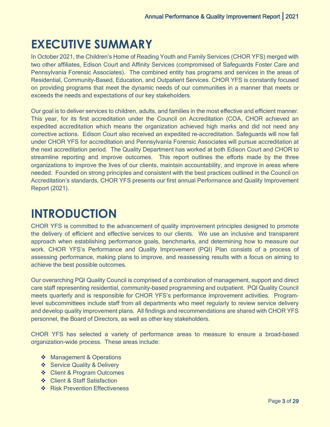## <span id="page-2-0"></span>**EXECUTIVE SUMMARY**

In October 2021, the Children's Home of Reading Youth and Family Services (CHOR YFS) merged with two other affiliates, Edison Court and Affinity Services (compromised of Safeguards Foster Care and Pennsylvania Forensic Associates). The combined entity has programs and services in the areas of Residential, Community-Based, Education, and Outpatient Services. CHOR YFS is constantly focused on providing programs that meet the dynamic needs of our communities in a manner that meets or exceeds the needs and expectations of our key stakeholders.

Our goal is to deliver services to children, adults, and families in the most effective and efficient manner. This year, for its first accreditation under the Council on Accreditation (COA, CHOR achieved an expedited accreditation which means the organization achieved high marks and did not need any corrective actions. Edison Court also received an expedited re-accreditation. Safeguards will now fall under CHOR YFS for accreditation and Pennsylvania Forensic Associates will pursue accreditation at the next accreditation period. The Quality Department has worked at both Edison Court and CHOR to streamline reporting and improve outcomes. This report outlines the efforts made by the three organizations to improve the lives of our clients, maintain accountability, and improve in areas where needed. Founded on strong principles and consistent with the best practices outlined in the Council on Accreditation's standards, CHOR YFS presents our first annual Performance and Quality Improvement Report (2021).

## <span id="page-2-1"></span>**INTRODUCTION**

CHOR YFS is committed to the advancement of quality improvement principles designed to promote the delivery of efficient and effective services to our clients. We use an inclusive and transparent approach when establishing performance goals, benchmarks, and determining how to measure our work. CHOR YFS's Performance and Quality Improvement (PQI) Plan consists of a process of assessing performance, making plans to improve, and reassessing results with a focus on aiming to achieve the best possible outcomes.

Our overarching PQI Quality Council is comprised of a combination of management, support and direct care staff representing residential, community-based programming and outpatient. PQI Quality Council meets quarterly and is responsible for CHOR YFS's performance improvement activities. Programlevel subcommittees include staff from all departments who meet regularly to review service delivery and develop quality improvement plans. All findings and recommendations are shared with CHOR YFS personnel, the Board of Directors, as well as other key stakeholders.

CHOR YFS has selected a variety of performance areas to measure to ensure a broad-based organization-wide process. These areas include:

- ❖ Management & Operations
- ❖ Service Quality & Delivery
- **❖** Client & Program Outcomes
- Client & Staff Satisfaction
- **❖** Risk Prevention Effectiveness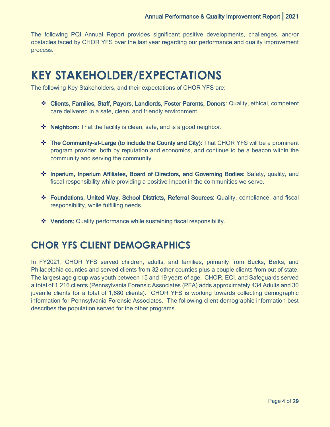The following PQI Annual Report provides significant positive developments, challenges, and/or obstacles faced by CHOR YFS over the last year regarding our performance and quality improvement process.

## <span id="page-3-0"></span>**KEY STAKEHOLDER/EXPECTATIONS**

The following Key Stakeholders, and their expectations of CHOR YFS are:

- Clients, Families, Staff, Payors, Landlords, Foster Parents, Donors: Quality, ethical, competent care delivered in a safe, clean, and friendly environment.
- $\triangleq$  Neighbors: That the facility is clean, safe, and is a good neighbor.
- The Community-at-Large (to include the County and City): That CHOR YFS will be a prominent program provider, both by reputation and economics, and continue to be a beacon within the community and serving the community.
- Inperium, Inperium Affiliates, Board of Directors, and Governing Bodies: Safety, quality, and fiscal responsibility while providing a positive impact in the communities we serve.
- Foundations, United Way, School Districts, Referral Sources: Quality, compliance, and fiscal responsibility, while fulfilling needs.
- Vendors: Quality performance while sustaining fiscal responsibility.

### <span id="page-3-1"></span>**CHOR YFS CLIENT DEMOGRAPHICS**

In FY2021, CHOR YFS served children, adults, and families, primarily from Bucks, Berks, and Philadelphia counties and served clients from 32 other counties plus a couple clients from out of state. The largest age group was youth between 15 and 19 years of age. CHOR, ECI, and Safeguards served a total of 1,216 clients (Pennsylvania Forensic Associates (PFA) adds approximately 434 Adults and 30 juvenile clients for a total of 1,680 clients). CHOR YFS is working towards collecting demographic information for Pennsylvania Forensic Associates. The following client demographic information best describes the population served for the other programs.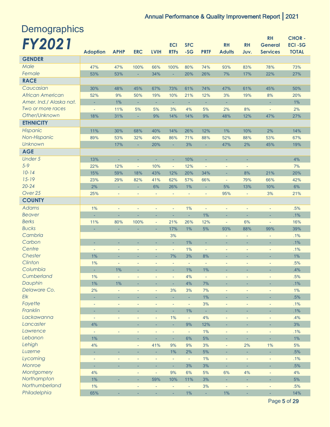**RH CHOR -**

| <b>Demographics</b> |  |
|---------------------|--|
| <b>FY2021</b>       |  |

| FY 2021                 |                                |                               |                          |                             | <b>ECI</b>               | <b>SFC</b>          |                                | <b>RH</b>      | <b>RH</b>                | <b>General</b>                  | <b>ECI-SG</b> |
|-------------------------|--------------------------------|-------------------------------|--------------------------|-----------------------------|--------------------------|---------------------|--------------------------------|----------------|--------------------------|---------------------------------|---------------|
|                         | <b>Adoption</b>                | <b>APHP</b>                   | <b>ERC</b>               | <b>LVIH</b>                 | <b>RTFs</b>              | $-SG$               | <b>PRTF</b>                    | <b>Adults</b>  | Juv.                     | <b>Services</b>                 | <b>TOTAL</b>  |
| <b>GENDER</b>           |                                |                               |                          |                             |                          |                     |                                |                |                          |                                 |               |
| Male                    | 47%                            | 47%                           | 100%                     | 66%                         | 100%                     | 80%                 | 74%                            | 93%            | 83%                      | 78%                             | 73%           |
| Female                  | 53%                            | 53%                           | ä,                       | 34%                         | ÷.                       | 20%                 | 26%                            | 7%             | 17%                      | 22%                             | 27%           |
| <b>RACE</b>             |                                |                               |                          |                             |                          |                     |                                |                |                          |                                 |               |
| Caucasian               | 30%                            | 48%                           | 45%                      | 67%                         | 73%                      | 61%                 | 74%                            | 47%            | 61%                      | 45%                             | 50%           |
| <b>African American</b> | 52%                            | 9%                            | 50%                      | 19%                         | 10%                      | 21%                 | 12%                            | 3%             | 19%                      | 8%                              | 20%           |
| Amer. Ind./ Alaska nat. | ÷,                             | 1%                            | ÷                        | ÷                           | ÷.                       | ÷                   | ÷                              | ÷,             |                          | ÷                               | 1%            |
| Two or more races       | $\blacksquare$                 | 11%                           | 5%                       | 5%                          | 3%                       | 4%                  | 5%                             | 2%             | 8%                       | ÷,                              | 2%            |
| Other/Unknown           | 18%                            | 31%                           | ÷.                       | 9%                          | 14%                      | 14%                 | 9%                             | 48%            | 12%                      | 47%                             | 27%           |
| <b>ETHNICITY</b>        |                                |                               |                          |                             |                          |                     |                                |                |                          |                                 |               |
| Hispanic                | 11%                            | 30%                           | 68%                      | 40%                         | 14%                      | 26%                 | 12%                            | 1%             | 10%                      | 2%                              | 14%           |
| Non-Hispanic            | 89%                            | 53%                           | 32%                      | 40%                         | 86%                      | 71%                 | 88%                            | 52%            | 88%                      | 53%                             | 67%           |
| Unknown                 |                                | 17%                           | ÷                        | 20%                         | ÷.                       | 3%                  | ÷                              | 47%            | 2%                       | 45%                             | 19%           |
| <b>AGE</b>              |                                |                               |                          |                             |                          |                     |                                |                |                          |                                 |               |
| <b>Under 5</b>          | 13%                            | ÷                             | ٠                        | ÷                           | ÷                        | 10%                 | ٠                              | ÷,             | ÷                        |                                 | 4%            |
| $5 - 9$                 | 22%                            | 12%                           | $\overline{\phantom{a}}$ | 10%                         | $\overline{\phantom{a}}$ | 12%                 | ÷                              | ÷              | ÷,                       |                                 | 7%            |
| $10 - 14$               | 15%                            | 59%                           | 18%                      | 43%                         | 12%                      | 20%                 | 34%                            | ÷.             | 8%                       | 21%                             | 20%           |
| $15 - 19$               | 23%                            | 29%                           | 82%                      | 41%                         | 62%                      | 57%                 | 66%                            | ÷,             | 79%                      | 66%                             | 42%           |
| $20 - 24$               | 2%                             | ÷                             | ×.                       | 6%                          | 26%                      | 1%                  | ÷                              | 5%             | 13%                      | 10%                             | 6%            |
| Over 25                 | 25%                            | $\overline{\phantom{a}}$      | ÷,                       | $\blacksquare$              | $\overline{\phantom{a}}$ | $\bar{\phantom{a}}$ | $\overline{\phantom{a}}$       | 95%            | $\overline{\phantom{a}}$ | 3%                              | 21%           |
| <b>COUNTY</b>           |                                |                               |                          |                             |                          |                     |                                |                |                          |                                 |               |
| <b>Adams</b>            |                                |                               |                          |                             |                          |                     |                                |                |                          |                                 |               |
| <b>Beaver</b>           | $1\%$<br>ä,                    | ÷,<br>u,                      | ÷<br>÷                   | ÷,<br>×.                    | $\overline{\phantom{a}}$ | 1%<br>÷.            | $\overline{\phantom{a}}$<br>1% | ÷<br>÷,        | ÷<br>÷                   | $\overline{\phantom{a}}$<br>÷,  | .5%<br>.1%    |
| <b>Berks</b>            |                                |                               |                          |                             | ÷<br>21%                 | 26%                 |                                |                |                          |                                 |               |
| <b>Bucks</b>            | 11%<br>L,                      | 80%                           | 100%                     | $\overline{\phantom{a}}$    | 17%                      | 1%                  | 12%                            | $\blacksquare$ | 6%                       | $\overline{\phantom{a}}$<br>99% | 16%<br>39%    |
| Cambria                 |                                | ÷.                            | L,                       | ÷.                          | 3%                       |                     | 5%                             | 93%            | 88%                      |                                 |               |
| Carbon                  |                                |                               |                          |                             |                          | 1%                  |                                | ÷,             |                          | ÷                               | .1%<br>.1%    |
| Centre                  | ÷                              | ÷                             |                          |                             |                          | 1%                  |                                | ÷              | ٠                        | ÷                               | .1%           |
| Chester                 | $\overline{\phantom{a}}$<br>1% | ÷                             | $\overline{\phantom{a}}$ | ÷<br>÷                      | $\blacksquare$<br>7%     | 3%                  | $\overline{\phantom{a}}$<br>8% | ÷,             | ÷                        | $\overline{\phantom{a}}$        | 1%            |
| Clinton                 | 1%                             | ٠<br>$\overline{\phantom{a}}$ | ٠                        | $\overline{\phantom{a}}$    | $\blacksquare$           | $\blacksquare$      |                                | ٠              | ٠                        | ٠                               | .5%           |
| Columbia                | ÷                              | 1%                            | ٠<br>٠                   |                             | ٠                        | 1%                  | $\overline{\phantom{a}}$<br>1% | ÷<br>٠         | ÷<br>÷                   | $\overline{\phantom{a}}$<br>÷   | .4%           |
| Cumberland              | 1%                             | ÷,                            | ÷,                       | ÷                           | $\overline{\phantom{a}}$ | 4%                  | ÷,                             | ÷,             | l,                       | $\blacksquare$                  | .5%           |
| Dauphin                 | 1%                             | 1%                            |                          |                             |                          | 4%                  | 7%                             |                |                          |                                 | .1%           |
| Delaware Co.            | 2%                             | ÷,                            | ÷,                       | $\blacksquare$              | 3%                       | 3%                  | 7%                             | ÷              | ÷                        | $\blacksquare$                  | 1%            |
| Elk                     | ÷.                             | ä,                            | ÷                        | ä,                          | ÷.                       | ÷.                  | 1%                             | ÷,             | ÷.                       | ÷.                              | .5%           |
| Fayette                 | ÷,                             | ÷,                            | ÷,                       | ÷,                          | $\overline{\phantom{a}}$ | $\blacksquare$      | 3%                             | $\blacksquare$ | ÷                        | $\blacksquare$                  | .1%           |
| Franklin                | ÷,                             | ٠                             | ٠                        | ä,                          | ÷                        | 1%                  |                                | ٠              | ÷                        | ٠                               | .1%           |
| Lackawanna              | $\overline{\phantom{a}}$       | ÷,                            | ÷                        | $\blacksquare$              | 1%                       | $\Box$              | 4%                             | ÷,             | $\blacksquare$           | $\blacksquare$                  | .4%           |
| Lancaster               | 4%                             |                               | ÷                        |                             | ä,                       | 9%                  | 12%                            | ÷              | ۰                        | ÷                               | 3%            |
| Lawrence                | $\blacksquare$                 | ÷,                            | ÷                        | $\blacksquare$              | $\overline{\phantom{a}}$ | ÷,                  | 1%                             | ÷,             | ÷                        | $\blacksquare$                  | .1%           |
| Lebanon                 | 1%                             |                               | ÷.                       | ÷.                          | ÷.                       | 6%                  | 5%                             | ÷.             | ÷,                       | $\sim$                          | 1%            |
| Lehigh                  | 4%                             |                               | $\blacksquare$           | 41%                         | 9%                       | 9%                  | 3%                             | $\blacksquare$ | 2%                       | 1%                              | $5%$          |
| Luzerne                 | ä,                             | ÷.                            | L,                       | ÷.                          | 1%                       | 2%                  | 5%                             | ÷,             | ÷                        | ÷.                              | .5%           |
| Lycoming                | ÷,                             | ÷,                            | ÷,                       | $\blacksquare$              | $\overline{\phantom{a}}$ | $\equiv$            | 1%                             | ÷,             | ÷                        | $\overline{\phantom{a}}$        | .1%           |
| Monroe                  | ÷.                             | ÷.                            | ÷.                       | u,                          | ÷                        | 3%                  | 3%                             | ÷.             | ÷.                       | ÷                               | .5%           |
| Montgomery              | 4%                             |                               | ÷,                       | $\blacksquare$              | 9%                       | 6%                  | $5%$                           | 6%             | 4%                       | $\blacksquare$                  | 4%            |
| Northampton             | 1%                             | ÷                             | ٠                        | 59%                         | 10%                      | 11%                 | 3%                             | ÷,             | ÷                        | ÷                               | $5%$          |
| Northumberland          | 1%                             |                               | ÷                        | ÷                           | $\overline{\phantom{a}}$ | ÷,                  | 3%                             | ÷              | ÷,                       | ÷,                              | .5%           |
| Philadelphia            | 65%                            | ÷.                            | ÷,                       | $\mathcal{L}_{\mathcal{A}}$ | ÷                        | 1%                  | ÷.                             | 1%             | ÷                        | $\blacksquare$                  | 14%           |
|                         |                                |                               |                          |                             |                          |                     |                                |                |                          |                                 |               |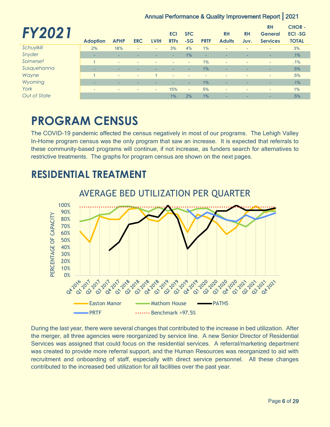| <b>FY202</b> |                          |                          |                          |                          |                           |                          |                          |                            |                          | <b>RH</b>                         | <b>CHOR-</b>                  |
|--------------|--------------------------|--------------------------|--------------------------|--------------------------|---------------------------|--------------------------|--------------------------|----------------------------|--------------------------|-----------------------------------|-------------------------------|
|              | <b>Adoption</b>          | <b>APHP</b>              | <b>ERC</b>               | <b>LVIH</b>              | <b>ECI</b><br><b>RTFs</b> | <b>SFC</b><br>$-SG$      | <b>PRTF</b>              | <b>RH</b><br><b>Adults</b> | <b>RH</b><br>Juv.        | <b>General</b><br><b>Services</b> | <b>ECI-SG</b><br><b>TOTAL</b> |
| Schuylkill   | 2%                       | 18%                      | $\overline{\phantom{a}}$ | $\overline{a}$           | 3%                        | 4%                       | 1%                       | $\overline{a}$             | $\overline{\phantom{0}}$ | ٠                                 | 3%                            |
| Snyder       | -                        | ۰                        | -                        | -                        | ÷                         | 1%                       | ٠                        |                            |                          | ۰                                 | .1%                           |
| Somerset     |                          | $\overline{\phantom{a}}$ | $\overline{\phantom{0}}$ | $\overline{\phantom{0}}$ | $\sim$                    | $\sim$                   | 1%                       | $\overline{\phantom{a}}$   | $\overline{\phantom{a}}$ | $\overline{\phantom{a}}$          | .1%                           |
| Susquehanna  | -                        | ۰                        | -                        |                          | $\overline{\phantom{a}}$  | ۰.                       | 1%                       | ۰                          | ٠                        | ۰                                 | .5%                           |
| Wayne        |                          | $\overline{\phantom{a}}$ | $\overline{\phantom{a}}$ |                          | ٠                         | $\overline{\phantom{a}}$ | $\overline{\phantom{0}}$ | $\overline{\phantom{a}}$   | $\overline{\phantom{a}}$ | ٠                                 | .5%                           |
| Wyoming      | ۰                        | ۰                        | -                        |                          | ۰                         | ۰                        | 1%                       | ۰                          | <b>.</b>                 | ۰                                 | .1%                           |
| York         | $\overline{\phantom{0}}$ | $\overline{\phantom{a}}$ | ٠                        | ۰                        | 15%                       | ٠                        | 5%                       | $\overline{\phantom{a}}$   | $\overline{\phantom{0}}$ | ٠                                 | 1%                            |
| Out of State |                          |                          |                          |                          | 1%                        | 2%                       | 1%                       | ۰                          | ۰                        | ۰                                 | .5%                           |

## <span id="page-5-0"></span>**PROGRAM CENSUS**

The COVID-19 pandemic affected the census negatively in most of our programs. The Lehigh Valley In-Home program census was the only program that saw an increase. It is expected that referrals to these community-based programs will continue, if not increase, as funders search for alternatives to restrictive treatments. The graphs for program census are shown on the next pages.

#### AVERAGE BED UTILIZATION PER QUARTER 100% 90% PERCENTAGE OF CAPACITY PERCENTAGE OF CAPACITY 80% 70% 60% 50% 40% 30% 20% 10% 0% -23-2019 **04.2019 019-2019 02-2020** 1020 04 **016-2017** 011 -018 -018 -018 **04 01 02 02 03** 02 03 04 01 04 02 02 02 02 04 02 Easton Manor **Common Mathom House Common PATHS**  $\blacksquare$  PRTF  $\blacksquare$   $\blacksquare$  PRTF  $\blacksquare$

### <span id="page-5-1"></span>**RESIDENTIAL TREATMENT**

During the last year, there were several changes that contributed to the increase in bed utilization. After the merger, all three agencies were reorganized by service line. A new Senior Director of Residential Services was assigned that could focus on the residential services. A referral/marketing department was created to provide more referral support, and the Human Resources was reorganized to aid with recruitment and onboarding of staff, especially with direct service personnel. All these changes contributed to the increased bed utilization for all facilities over the past year.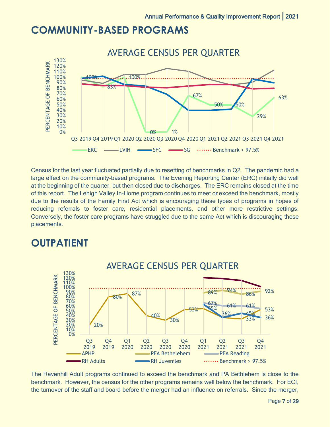### <span id="page-6-0"></span>**COMMUNITY-BASED PROGRAMS**



Census for the last year fluctuated partially due to resetting of benchmarks in Q2. The pandemic had a large effect on the community-based programs. The Evening Reporting Center (ERC) initially did well at the beginning of the quarter, but then closed due to discharges. The ERC remains closed at the time of this report. The Lehigh Valley In-Home program continues to meet or exceed the benchmark, mostly due to the results of the Family First Act which is encouraging these types of programs in hopes of reducing referrals to foster care, residential placements, and other more restrictive settings. Conversely, the foster care programs have struggled due to the same Act which is discouraging these placements.

### <span id="page-6-1"></span>**OUTPATIENT**



The Ravenhill Adult programs continued to exceed the benchmark and PA Bethlehem is close to the benchmark. However, the census for the other programs remains well below the benchmark. For ECI, the turnover of the staff and board before the merger had an influence on referrals. Since the merger,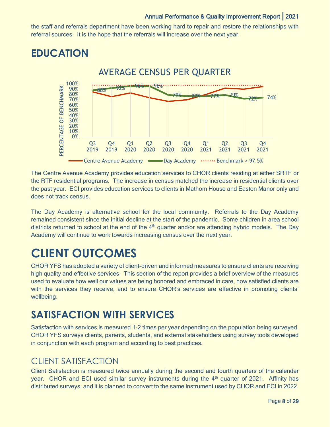the staff and referrals department have been working hard to repair and restore the relationships with referral sources. It is the hope that the referrals will increase over the next year.

### <span id="page-7-0"></span>**EDUCATION**



The Centre Avenue Academy provides education services to CHOR clients residing at either SRTF or the RTF residential programs. The increase in census matched the increase in residential clients over the past year. ECI provides education services to clients in Mathom House and Easton Manor only and does not track census.

The Day Academy is alternative school for the local community. Referrals to the Day Academy remained consistent since the initial decline at the start of the pandemic. Some children in area school districts returned to school at the end of the  $4<sup>th</sup>$  quarter and/or are attending hybrid models. The Day Academy will continue to work towards increasing census over the next year.

## <span id="page-7-1"></span>**CLIENT OUTCOMES**

CHOR YFS has adopted a variety of client-driven and informed measures to ensure clients are receiving high quality and effective services. This section of the report provides a brief overview of the measures used to evaluate how well our values are being honored and embraced in care, how satisfied clients are with the services they receive, and to ensure CHOR's services are effective in promoting clients' wellbeing.

## <span id="page-7-2"></span>**SATISFACTION WITH SERVICES**

Satisfaction with services is measured 1-2 times per year depending on the population being surveyed. CHOR YFS surveys clients, parents, students, and external stakeholders using survey tools developed in conjunction with each program and according to best practices.

#### CLIENT SATISFACTION

Client Satisfaction is measured twice annually during the second and fourth quarters of the calendar year. CHOR and ECI used similar survey instruments during the 4<sup>th</sup> quarter of 2021. Affinity has distributed surveys, and it is planned to convert to the same instrument used by CHOR and ECI in 2022.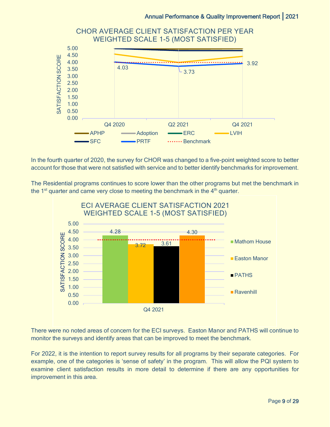

In the fourth quarter of 2020, the survey for CHOR was changed to a five-point weighted score to better account for those that were not satisfied with service and to better identify benchmarks for improvement.

The Residential programs continues to score lower than the other programs but met the benchmark in the  $1<sup>st</sup>$  quarter and came very close to meeting the benchmark in the  $4<sup>th</sup>$  quarter.



There were no noted areas of concern for the ECI surveys. Easton Manor and PATHS will continue to monitor the surveys and identify areas that can be improved to meet the benchmark.

For 2022, it is the intention to report survey results for all programs by their separate categories. For example, one of the categories is 'sense of safety' in the program. This will allow the PQI system to examine client satisfaction results in more detail to determine if there are any opportunities for improvement in this area.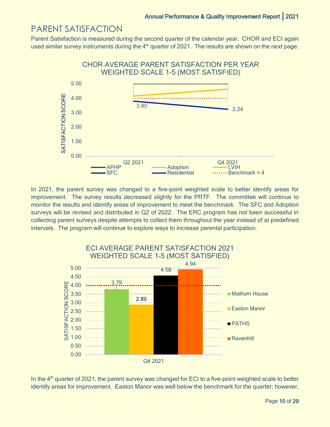#### PARENT SATISFACTION

Parent Satisfaction is measured during the second quarter of the calendar year. CHOR and ECI again used similar survey instruments during the  $4<sup>th</sup>$  quarter of 2021. The results are shown on the next page.



In 2021, the parent survey was changed to a five-point weighted scale to better identify areas for improvement. The survey results decreased slightly for the PRTF. The committee will continue to monitor the results and identify areas of improvement to meet the benchmark. The SFC and Adoption surveys will be revised and distributed in Q2 of 2022. The ERC program has not been successful in collecting parent surveys despite attempts to collect them throughout the year instead of at predefined intervals. The program will continue to explore ways to increase parental participation.



In the 4<sup>th</sup> quarter of 2021, the parent survey was changed for ECI to a five-point weighted scale to better identify areas for improvement. Easton Manor was well below the benchmark for the quarter; however,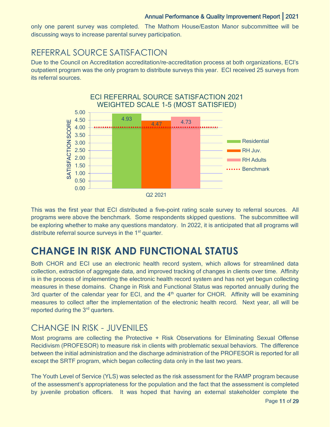only one parent survey was completed. The Mathom House/Easton Manor subcommittee will be discussing ways to increase parental survey participation.

#### REFERRAL SOURCE SATISFACTION

Due to the Council on Accreditation accreditation/re-accreditation process at both organizations, ECI's outpatient program was the only program to distribute surveys this year. ECI received 25 surveys from its referral sources.



This was the first year that ECI distributed a five-point rating scale survey to referral sources. All programs were above the benchmark. Some respondents skipped questions. The subcommittee will be exploring whether to make any questions mandatory. In 2022, it is anticipated that all programs will distribute referral source surveys in the 1<sup>st</sup> quarter.

## <span id="page-10-0"></span>**CHANGE IN RISK AND FUNCTIONAL STATUS**

Both CHOR and ECI use an electronic health record system, which allows for streamlined data collection, extraction of aggregate data, and improved tracking of changes in clients over time. Affinity is in the process of implementing the electronic health record system and has not yet begun collecting measures in these domains. Change in Risk and Functional Status was reported annually during the 3rd quarter of the calendar year for ECI, and the  $4<sup>th</sup>$  quarter for CHOR. Affinity will be examining measures to collect after the implementation of the electronic health record. Next year, all will be reported during the 3<sup>rd</sup> quarters.

### CHANGE IN RISK - JUVENILES

Most programs are collecting the Protective + Risk Observations for Eliminating Sexual Offense Recidivism (PROFESOR) to measure risk in clients with problematic sexual behaviors. The difference between the initial administration and the discharge administration of the PROFESOR is reported for all except the SRTF program, which began collecting data only in the last two years.

The Youth Level of Service (YLS) was selected as the risk assessment for the RAMP program because of the assessment's appropriateness for the population and the fact that the assessment is completed by juvenile probation officers. It was hoped that having an external stakeholder complete the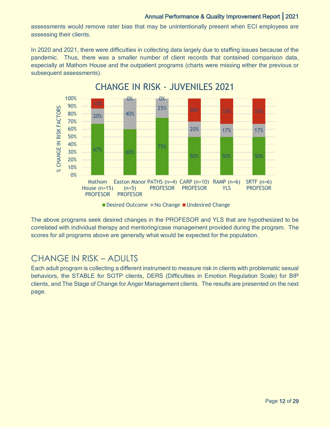assessments would remove rater bias that may be unintentionally present when ECI employees are assessing their clients.

In 2020 and 2021, there were difficulties in collecting data largely due to staffing issues because of the pandemic. Thus, there was a smaller number of client records that contained comparison data, especially at Mathom House and the outpatient programs (charts were missing either the previous or subsequent assessments).



CHANGE IN RISK - JUVENILES 2021

The above programs seek desired changes in the PROFESOR and YLS that are hypothesized to be correlated with individual therapy and mentoring/case management provided during the program. The scores for all programs above are generally what would be expected for the population.

#### CHANGE IN RISK – ADULTS

Each adult program is collecting a different instrument to measure risk in clients with problematic sexual behaviors, the STABLE for SOTP clients, DERS (Difficulties in Emotion Regulation Scale) for BIP clients, and The Stage of Change for Anger Management clients. The results are presented on the next page.

Desired Outcome No Change Undesired Change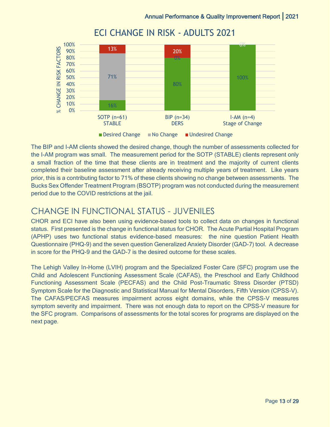

ECI CHANGE IN RISK - ADULTS 2021

The BIP and I-AM clients showed the desired change, though the number of assessments collected for the I-AM program was small. The measurement period for the SOTP (STABLE) clients represent only a small fraction of the time that these clients are in treatment and the majority of current clients completed their baseline assessment after already receiving multiple years of treatment. Like years prior, this is a contributing factor to 71% of these clients showing no change between assessments. The Bucks Sex Offender Treatment Program (BSOTP) program was not conducted during the measurement period due to the COVID restrictions at the jail.

#### CHANGE IN FUNCTIONAL STATUS - JUVENILES

CHOR and ECI have also been using evidence-based tools to collect data on changes in functional status. First presented is the change in functional status for CHOR. The Acute Partial Hospital Program (APHP) uses two functional status evidence-based measures: the nine question Patient Health Questionnaire (PHQ-9) and the seven question Generalized Anxiety Disorder (GAD-7) tool. A decrease in score for the PHQ-9 and the GAD-7 is the desired outcome for these scales.

The Lehigh Valley In-Home (LVIH) program and the Specialized Foster Care (SFC) program use the Child and Adolescent Functioning Assessment Scale (CAFAS), the Preschool and Early Childhood Functioning Assessment Scale (PECFAS) and the Child Post-Traumatic Stress Disorder (PTSD) Symptom Scale for the Diagnostic and Statistical Manual for Mental Disorders, Fifth Version (CPSS-V). The CAFAS/PECFAS measures impairment across eight domains, while the CPSS-V measures symptom severity and impairment. There was not enough data to report on the CPSS-V measure for the SFC program. Comparisons of assessments for the total scores for programs are displayed on the next page.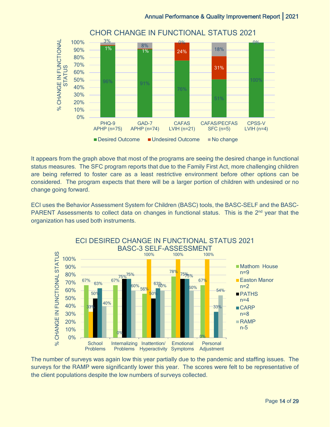

It appears from the graph above that most of the programs are seeing the desired change in functional status measures. The SFC program reports that due to the Family First Act, more challenging children are being referred to foster care as a least restrictive environment before other options can be considered. The program expects that there will be a larger portion of children with undesired or no change going forward.

ECI uses the Behavior Assessment System for Children (BASC) tools, the BASC-SELF and the BASC-PARENT Assessments to collect data on changes in functional status. This is the 2<sup>nd</sup> year that the organization has used both instruments.



The number of surveys was again low this year partially due to the pandemic and staffing issues. The surveys for the RAMP were significantly lower this year. The scores were felt to be representative of the client populations despite the low numbers of surveys collected.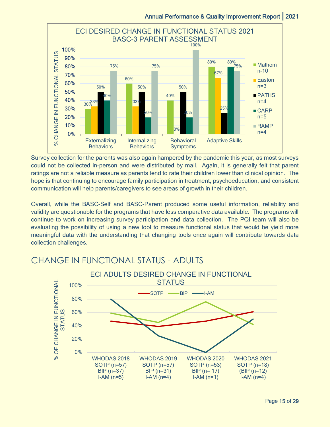

Survey collection for the parents was also again hampered by the pandemic this year, as most surveys could not be collected in-person and were distributed by mail. Again, it is generally felt that parent ratings are not a reliable measure as parents tend to rate their children lower than clinical opinion. The hope is that continuing to encourage family participation in treatment, psychoeducation, and consistent communication will help parents/caregivers to see areas of growth in their children.

Overall, while the BASC-Self and BASC-Parent produced some useful information, reliability and validity are questionable for the programs that have less comparative data available. The programs will continue to work on increasing survey participation and data collection. The PQI team will also be evaluating the possibility of using a new tool to measure functional status that would be yield more meaningful data with the understanding that changing tools once again will contribute towards data collection challenges.

#### CHANGE IN FUNCTIONAL STATUS - ADULTS

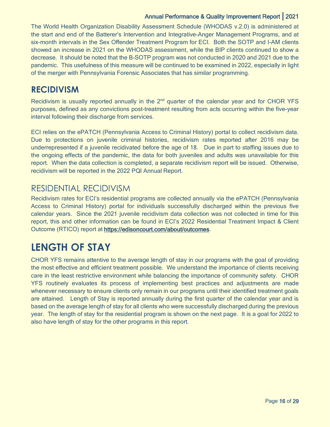The World Health Organization Disability Assessment Schedule (WHODAS v.2.0) is administered at the start and end of the Batterer's Intervention and Integrative-Anger Management Programs, and at six-month intervals in the Sex Offender Treatment Program for ECI. Both the SOTP and I-AM clients showed an increase in 2021 on the WHODAS assessment, while the BIP clients continued to show a decrease. It should be noted that the B-SOTP program was not conducted in 2020 and 2021 due to the pandemic. This usefulness of this measure will be continued to be examined in 2022, especially in light of the merger with Pennsylvania Forensic Associates that has similar programming.

#### <span id="page-15-0"></span>**RECIDIVISM**

Recidivism is usually reported annually in the 2<sup>nd</sup> quarter of the calendar year and for CHOR YFS purposes, defined as any convictions post-treatment resulting from acts occurring within the five-year interval following their discharge from services.

ECI relies on the ePATCH (Pennsylvania Access to Criminal History) portal to collect recidivism data. Due to protections on juvenile criminal histories, recidivism rates reported after 2016 may be underrepresented if a juvenile recidivated before the age of 18. Due in part to staffing issues due to the ongoing effects of the pandemic, the data for both juveniles and adults was unavailable for this report. When the data collection is completed, a separate recidivism report will be issued. Otherwise, recidivism will be reported in the 2022 PQI Annual Report.

#### RESIDENTIAL RECIDIVISM

Recidivism rates for ECI's residential programs are collected annually via the ePATCH (Pennsylvania Access to Criminal History) portal for individuals successfully discharged within the previous five calendar years. Since the 2021 juvenile recidivism data collection was not collected in time for this report, this and other information can be found in ECI's 2022 Residential Treatment Impact & Client Outcome (RTICO) report at [https://edisoncourt.com/about/outcomes.](https://edisoncourt.com/about/outcomes)

## <span id="page-15-1"></span>**LENGTH OF STAY**

CHOR YFS remains attentive to the average length of stay in our programs with the goal of providing the most effective and efficient treatment possible. We understand the importance of clients receiving care in the least restrictive environment while balancing the importance of community safety. CHOR YFS routinely evaluates its process of implementing best practices and adjustments are made whenever necessary to ensure clients only remain in our programs until their identified treatment goals are attained. Length of Stay is reported annually during the first quarter of the calendar year and is based on the average length of stay for all clients who were successfully discharged during the previous year. The length of stay for the residential program is shown on the next page. It is a goal for 2022 to also have length of stay for the other programs in this report.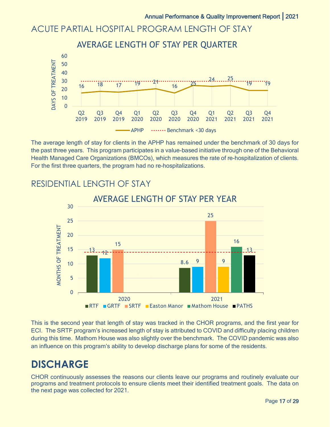#### ACUTE PARTIAL HOSPITAL PROGRAM LENGTH OF STAY

#### AVERAGE LENGTH OF STAY PER QUARTER 60 DAYS OF TREATMENT DAYS OF TREATMENT 50 40  $24...25$ 30  $16$  18  $17$  19  $21$  $10$   $10$   $10$ 16 20 10 0 Q2 Q3 Q4 Q1 Q2 Q3 Q4 Q1 Q2 Q3 Q4 2019 2019 2021 2019 2020 2020 2020 2020 2021 2021 2021 APHP  $\cdots$ Benchmark <30 days

The average length of stay for clients in the APHP has remained under the benchmark of 30 days for the past three years. This program participates in a value-based initiative through one of the Behavioral Health Managed Care Organizations (BMCOs), which measures the rate of re-hospitalization of clients. For the first three quarters, the program had no re-hospitalizations.



#### RESIDENTIAL LENGTH OF STAY

This is the second year that length of stay was tracked in the CHOR programs, and the first year for ECI. The SRTF program's increased length of stay is attributed to COVID and difficulty placing children during this time. Mathom House was also slightly over the benchmark. The COVID pandemic was also an influence on this program's ability to develop discharge plans for some of the residents.

### <span id="page-16-0"></span>**DISCHARGE**

CHOR continuously assesses the reasons our clients leave our programs and routinely evaluate our programs and treatment protocols to ensure clients meet their identified treatment goals. The data on the next page was collected for 2021.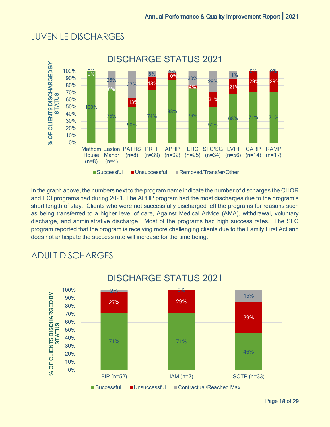#### JUVENILE DISCHARGES



In the graph above, the numbers next to the program name indicate the number of discharges the CHOR and ECI programs had during 2021. The APHP program had the most discharges due to the program's short length of stay. Clients who were not successfully discharged left the programs for reasons such as being transferred to a higher level of care, Against Medical Advice (AMA), withdrawal, voluntary discharge, and administrative discharge. Most of the programs had high success rates. The SFC program reported that the program is receiving more challenging clients due to the Family First Act and does not anticipate the success rate will increase for the time being.



### ADULT DISCHARGES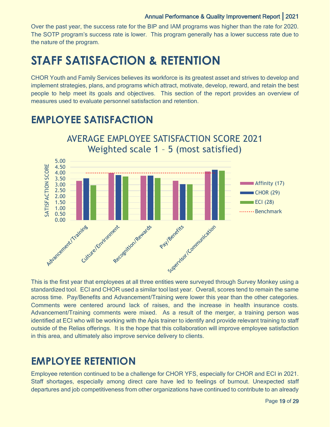Over the past year, the success rate for the BIP and IAM programs was higher than the rate for 2020. The SOTP program's success rate is lower. This program generally has a lower success rate due to the nature of the program.

## <span id="page-18-0"></span>**STAFF SATISFACTION & RETENTION**

CHOR Youth and Family Services believes its workforce is its greatest asset and strives to develop and implement strategies, plans, and programs which attract, motivate, develop, reward, and retain the best people to help meet its goals and objectives. This section of the report provides an overview of measures used to evaluate personnel satisfaction and retention.

### <span id="page-18-1"></span>**EMPLOYEE SATISFACTION**



standardized tool. ECI and CHOR used a similar tool last year. Overall, scores tend to remain the same across time. Pay/Benefits and Advancement/Training were lower this year than the other categories. Comments were centered around lack of raises, and the increase in health insurance costs. Advancement/Training comments were mixed. As a result of the merger, a training person was identified at ECI who will be working with the Apis trainer to identify and provide relevant training to staff outside of the Relias offerings. It is the hope that this collaboration will improve employee satisfaction in this area, and ultimately also improve service delivery to clients.

### <span id="page-18-2"></span>**EMPLOYEE RETENTION**

Employee retention continued to be a challenge for CHOR YFS, especially for CHOR and ECI in 2021. Staff shortages, especially among direct care have led to feelings of burnout. Unexpected staff departures and job competitiveness from other organizations have continued to contribute to an already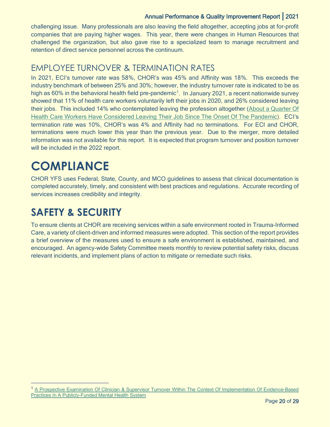challenging issue. Many professionals are also leaving the field altogether, accepting jobs at for-profit companies that are paying higher wages. This year, there were changes in Human Resources that challenged the organization, but also gave rise to a specialized team to manage recruitment and retention of direct service personnel across the continuum.

#### EMPLOYEE TURNOVER & TERMINATION RATES

In 2021, ECI's turnover rate was 58%, CHOR's was 45% and Affinity was 18%. This exceeds the industry benchmark of between 25% and 30%; however, the industry turnover rate is indicated to be as high as 60% in the behavioral health field pre-pandemic<sup>[1](#page-19-2)</sup>. In January 2021, a recent nationwide survey showed that 11% of health care workers voluntarily left their jobs in 2020, and 26% considered leaving their jobs. This included 14% who contemplated leaving the profession altogether [\(About a Quarter Of](https://link.zixcentral.com/u/5510dd2d/Fom4WpaS6xGNXTbNhnsoMg?u=https%3A%2F%2Fopenminds.us3.list-manage.com%2Ftrack%2Fclick%3Fu%3Dba359ce1c416ea9db3b26a100%26id%3D2a13c30754%26e%3Df765d430f0)  [Health Care Workers Have Considered Leaving Their Job Since The Onset Of The Pandemic\)](https://link.zixcentral.com/u/5510dd2d/Fom4WpaS6xGNXTbNhnsoMg?u=https%3A%2F%2Fopenminds.us3.list-manage.com%2Ftrack%2Fclick%3Fu%3Dba359ce1c416ea9db3b26a100%26id%3D2a13c30754%26e%3Df765d430f0). ECI's termination rate was 10%, CHOR's was 4% and Affinity had no terminations. For ECI and CHOR, terminations were much lower this year than the previous year. Due to the merger, more detailed information was not available for this report. It is expected that program turnover and position turnover will be included in the 2022 report.

## <span id="page-19-0"></span>**COMPLIANCE**

CHOR YFS uses Federal, State, County, and MCO guidelines to assess that clinical documentation is completed accurately, timely, and consistent with best practices and regulations. Accurate recording of services increases credibility and integrity.

### <span id="page-19-1"></span>**SAFETY & SECURITY**

To ensure clients at CHOR are receiving services within a safe environment rooted in Trauma-Informed Care, a variety of client-driven and informed measures were adopted. This section of the report provides a brief overview of the measures used to ensure a safe environment is established, maintained, and encouraged. An agency-wide Safety Committee meets monthly to review potential safety risks, discuss relevant incidents, and implement plans of action to mitigate or remediate such risks.

<span id="page-19-2"></span><sup>1</sup> A Prospective Examination Of Clinician & Supervisor [Turnover Within The Context Of Implementation Of Evidence-Based](https://link.zixcentral.com/u/b038c98c/AA64WpaS6xG-gjbNhnsoMg?u=https%3A%2F%2Fopenminds.us3.list-manage.com%2Ftrack%2Fclick%3Fu%3Dba359ce1c416ea9db3b26a100%26id%3Dc2f76526cd%26e%3Df765d430f0)  [Practices In A Publicly-Funded Mental Health System](https://link.zixcentral.com/u/b038c98c/AA64WpaS6xG-gjbNhnsoMg?u=https%3A%2F%2Fopenminds.us3.list-manage.com%2Ftrack%2Fclick%3Fu%3Dba359ce1c416ea9db3b26a100%26id%3Dc2f76526cd%26e%3Df765d430f0)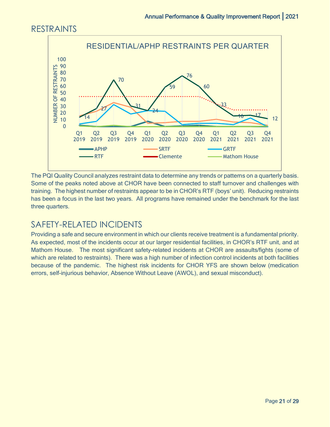### RESTRAINTS



The PQI Quality Council analyzes restraint data to determine any trends or patterns on a quarterly basis. Some of the peaks noted above at CHOR have been connected to staff turnover and challenges with training. The highest number of restraints appear to be in CHOR's RTF (boys' unit). Reducing restraints has been a focus in the last two years. All programs have remained under the benchmark for the last three quarters.

### SAFETY-RELATED INCIDENTS

Providing a safe and secure environment in which our clients receive treatment is a fundamental priority. As expected, most of the incidents occur at our larger residential facilities, in CHOR's RTF unit, and at Mathom House. The most significant safety-related incidents at CHOR are assaults/fights (some of which are related to restraints). There was a high number of infection control incidents at both facilities because of the pandemic. The highest risk incidents for CHOR YFS are shown below (medication errors, self-injurious behavior, Absence Without Leave (AWOL), and sexual misconduct).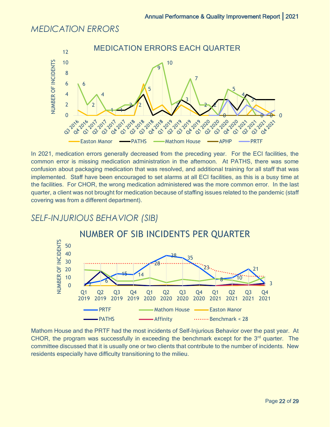#### *MEDICATION ERRORS*



In 2021, medication errors generally decreased from the preceding year. For the ECI facilities, the common error is missing medication administration in the afternoon. At PATHS, there was some confusion about packaging medication that was resolved, and additional training for all staff that was implemented. Staff have been encouraged to set alarms at all ECI facilities, as this is a busy time at the facilities. For CHOR, the wrong medication administered was the more common error. In the last quarter, a client was not brought for medication because of staffing issues related to the pandemic (staff covering was from a different department).

#### *SELF-INJURIOUS BEHAVIOR (SIB)*



Mathom House and the PRTF had the most incidents of Self-Injurious Behavior over the past year. At CHOR, the program was successfully in exceeding the benchmark except for the  $3<sup>rd</sup>$  quarter. The committee discussed that it is usually one or two clients that contribute to the number of incidents. New residents especially have difficulty transitioning to the milieu.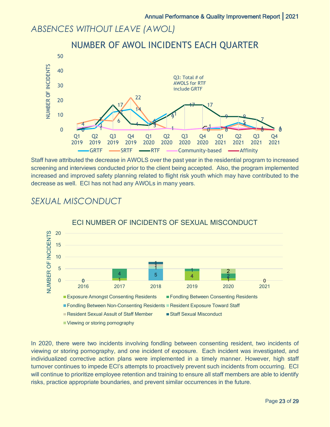#### *ABSENCES WITHOUT LEAVE (AWOL)*



Staff have attributed the decrease in AWOLS over the past year in the residential program to increased screening and interviews conducted prior to the client being accepted. Also, the program implemented increased and improved safety planning related to flight risk youth which may have contributed to the decrease as well. ECI has not had any AWOLs in many years.



#### *SEXUAL MISCONDUCT*

In 2020, there were two incidents involving fondling between consenting resident, two incidents of viewing or storing pornography, and one incident of exposure. Each incident was investigated, and individualized corrective action plans were implemented in a timely manner. However, high staff turnover continues to impede ECI's attempts to proactively prevent such incidents from occurring. ECI will continue to prioritize employee retention and training to ensure all staff members are able to identify risks, practice appropriate boundaries, and prevent similar occurrences in the future.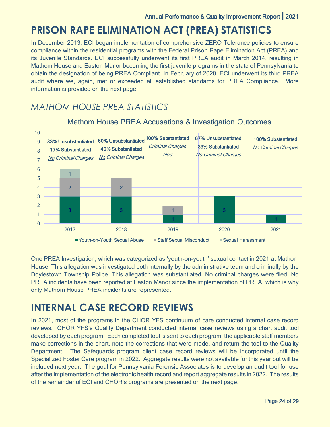### <span id="page-23-0"></span>**PRISON RAPE ELIMINATION ACT (PREA) STATISTICS**

In December 2013, ECI began implementation of comprehensive ZERO Tolerance policies to ensure compliance within the residential programs with the Federal Prison Rape Elimination Act (PREA) and its Juvenile Standards. ECI successfully underwent its first PREA audit in March 2014, resulting in Mathom House and Easton Manor becoming the first juvenile programs in the state of Pennsylvania to obtain the designation of being PREA Compliant. In February of 2020, ECI underwent its third PREA audit where we, again, met or exceeded all established standards for PREA Compliance. More information is provided on the next page.

#### *MATHOM HOUSE PREA STATISTICS*



#### Mathom House PREA Accusations & Investigation Outcomes

One PREA Investigation, which was categorized as 'youth-on-youth' sexual contact in 2021 at Mathom House. This allegation was investigated both internally by the administrative team and criminally by the Doylestown Township Police. This allegation was substantiated. No criminal charges were filed. No PREA incidents have been reported at Easton Manor since the implementation of PREA, which is why only Mathom House PREA incidents are represented.

### <span id="page-23-1"></span>**INTERNAL CASE RECORD REVIEWS**

In 2021, most of the programs in the CHOR YFS continuum of care conducted internal case record reviews. CHOR YFS's Quality Department conducted internal case reviews using a chart audit tool developed by each program. Each completed tool is sent to each program, the applicable staff members make corrections in the chart, note the corrections that were made, and return the tool to the Quality Department. The Safeguards program client case record reviews will be incorporated until the Specialized Foster Care program in 2022. Aggregate results were not available for this year but will be included next year. The goal for Pennsylvania Forensic Associates is to develop an audit tool for use after the implementation of the electronic health record and report aggregate results in 2022. The results of the remainder of ECI and CHOR's programs are presented on the next page.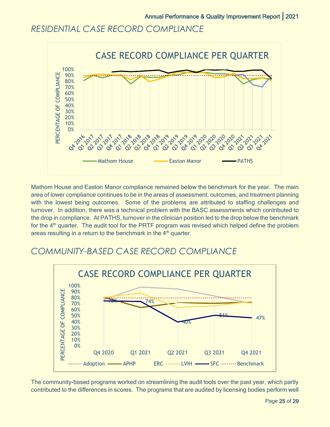#### *RESIDENTIAL CASE RECORD COMPLIANCE*



Mathom House and Easton Manor compliance remained below the benchmark for the year. The main area of lower compliance continues to be in the areas of assessment, outcomes, and treatment planning with the lowest being outcomes. Some of the problems are attributed to staffing challenges and turnover. In addition, there was a technical problem with the BASC assessments which contributed to the drop in compliance. At PATHS, turnover in the clinician position led to the drop below the benchmark for the 4<sup>th</sup> quarter. The audit tool for the PRTF program was revised which helped define the problem areas resulting in a return to the benchmark in the  $4<sup>th</sup>$  quarter.

#### *COMMUNITY-BASED CASE RECORD COMPLIANCE*



The community-based programs worked on streamlining the audit tools over the past year, which partly contributed to the differences in scores. The programs that are audited by licensing bodies perform well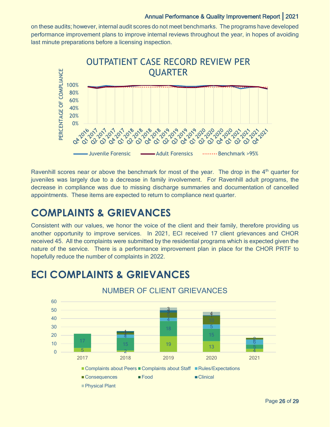on these audits; however, internal audit scores do not meet benchmarks. The programs have developed performance improvement plans to improve internal reviews throughout the year, in hopes of avoiding last minute preparations before a licensing inspection.



Ravenhill scores near or above the benchmark for most of the year. The drop in the  $4<sup>th</sup>$  quarter for juveniles was largely due to a decrease in family involvement. For Ravenhill adult programs, the decrease in compliance was due to missing discharge summaries and documentation of cancelled appointments. These items are expected to return to compliance next quarter.

### <span id="page-25-0"></span>**COMPLAINTS & GRIEVANCES**

Consistent with our values, we honor the voice of the client and their family, therefore providing us another opportunity to improve services. In 2021, ECI received 17 client grievances and CHOR received 45. All the complaints were submitted by the residential programs which is expected given the nature of the service. There is a performance improvement plan in place for the CHOR PRTF to hopefully reduce the number of complaints in 2022.



### **ECI COMPLAINTS & GRIEVANCES**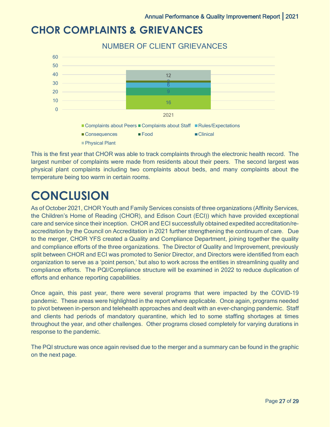### **CHOR COMPLAINTS & GRIEVANCES**



This is the first year that CHOR was able to track complaints through the electronic health record. The largest number of complaints were made from residents about their peers. The second largest was physical plant complaints including two complaints about beds, and many complaints about the temperature being too warm in certain rooms.

## <span id="page-26-0"></span>**CONCLUSION**

As of October 2021, CHOR Youth and Family Services consists of three organizations (Affinity Services, the Children's Home of Reading (CHOR), and Edison Court (ECI)) which have provided exceptional care and service since their inception. CHOR and ECI successfully obtained expedited accreditation/reaccreditation by the Council on Accreditation in 2021 further strengthening the continuum of care. Due to the merger, CHOR YFS created a Quality and Compliance Department, joining together the quality and compliance efforts of the three organizations. The Director of Quality and Improvement, previously split between CHOR and ECI was promoted to Senior Director, and Directors were identified from each organization to serve as a 'point person,' but also to work across the entities in streamlining quality and compliance efforts. The PQI/Compliance structure will be examined in 2022 to reduce duplication of efforts and enhance reporting capabilities.

Once again, this past year, there were several programs that were impacted by the COVID-19 pandemic. These areas were highlighted in the report where applicable. Once again, programs needed to pivot between in-person and telehealth approaches and dealt with an ever-changing pandemic. Staff and clients had periods of mandatory quarantine, which led to some staffing shortages at times throughout the year, and other challenges. Other programs closed completely for varying durations in response to the pandemic.

The PQI structure was once again revised due to the merger and a summary can be found in the graphic on the next page.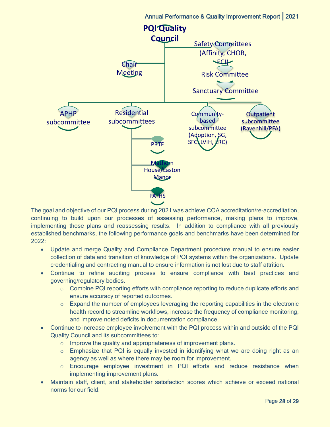

The goal and objective of our PQI process during 2021 was achieve COA accreditation/re-accreditation, continuing to build upon our processes of assessing performance, making plans to improve, implementing those plans and reassessing results. In addition to compliance with all previously established benchmarks, the following performance goals and benchmarks have been determined for 2022:

- Update and merge Quality and Compliance Department procedure manual to ensure easier collection of data and transition of knowledge of PQI systems within the organizations. Update credentialing and contracting manual to ensure information is not lost due to staff attrition.
- Continue to refine auditing process to ensure compliance with best practices and governing/regulatory bodies.
	- $\circ$  Combine PQI reporting efforts with compliance reporting to reduce duplicate efforts and ensure accuracy of reported outcomes.
	- $\circ$  Expand the number of employees leveraging the reporting capabilities in the electronic health record to streamline workflows, increase the frequency of compliance monitoring, and improve noted deficits in documentation compliance.
- Continue to increase employee involvement with the PQI process within and outside of the PQI Quality Council and its subcommittees to:
	- $\circ$  Improve the quality and appropriateness of improvement plans.
	- $\circ$  Emphasize that PQI is equally invested in identifying what we are doing right as an agency as well as where there may be room for improvement.
	- o Encourage employee investment in PQI efforts and reduce resistance when implementing improvement plans.
- Maintain staff, client, and stakeholder satisfaction scores which achieve or exceed national norms for our field.